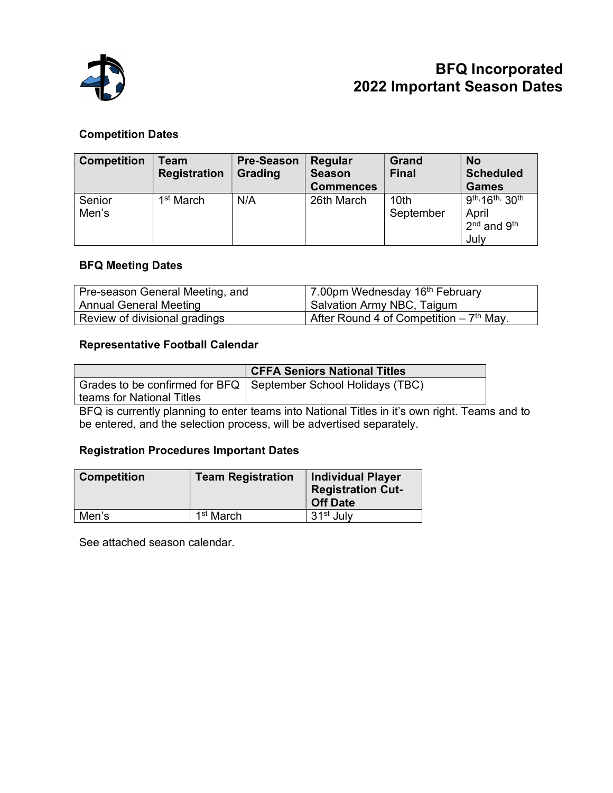

## BFQ Incorporated 2022 Important Season Dates

### Competition Dates

| <b>Competition</b> | Team<br><b>Registration</b> | <b>Pre-Season</b><br>Grading | Regular<br><b>Season</b><br><b>Commences</b> | Grand<br><b>Final</b>         | <b>No</b><br><b>Scheduled</b><br><b>Games</b>                           |
|--------------------|-----------------------------|------------------------------|----------------------------------------------|-------------------------------|-------------------------------------------------------------------------|
| Senior<br>Men's    | 1 <sup>st</sup> March       | N/A                          | 26th March                                   | 10 <sub>th</sub><br>September | 9th, 16th, 30th<br>April<br>2 <sup>nd</sup> and 9 <sup>th</sup><br>July |

#### BFQ Meeting Dates

| Pre-season General Meeting, and | 7.00pm Wednesday $16th$ February          |
|---------------------------------|-------------------------------------------|
| Annual General Meeting          | Salvation Army NBC, Taigum                |
| Review of divisional gradings   | After Round 4 of Competition – $7th$ May. |

#### Representative Football Calendar

|                           | <b>CFFA Seniors National Titles</b>                              |  |
|---------------------------|------------------------------------------------------------------|--|
|                           | Grades to be confirmed for BFQ   September School Holidays (TBC) |  |
| teams for National Titles |                                                                  |  |

BFQ is currently planning to enter teams into National Titles in it's own right. Teams and to be entered, and the selection process, will be advertised separately.

#### Registration Procedures Important Dates

| <b>Competition</b> | <b>Team Registration</b> | <b>Individual Player</b><br><b>Registration Cut-</b><br><b>Off Date</b> |
|--------------------|--------------------------|-------------------------------------------------------------------------|
| Men's              | 1 <sup>st</sup> March    | 31 <sup>st</sup> July                                                   |

See attached season calendar.